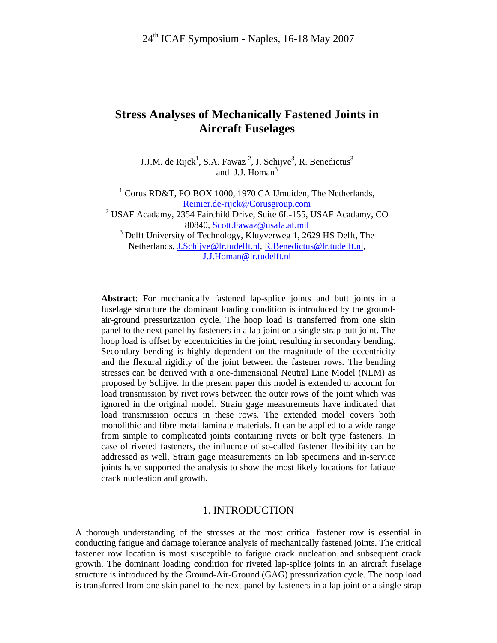## **Stress Analyses of Mechanically Fastened Joints in Aircraft Fuselages**

J.J.M. de Rijck<sup>1</sup>, S.A. Fawaz<sup>2</sup>, J. Schijve<sup>3</sup>, R. Benedictus<sup>3</sup> and J.J. Homan $3$ 

<sup>1</sup> Corus RD&T, PO BOX 1000, 1970 CA IJmuiden, The Netherlands, Reinier.de-rijck@Corusgroup.com <sup>2</sup> USAF Acadamy, 2354 Fairchild Drive, Suite 6L-155, USAF Acadamy, CO 80840, Scott.Fawaz@usafa.af.mil <sup>3</sup> Delft University of Technology, Kluyverweg 1, 2629 HS Delft, The Netherlands, J.Schijve@lr.tudelft.nl, R.Benedictus@lr.tudelft.nl, J.J.Homan@lr.tudelft.nl

**Abstract**: For mechanically fastened lap-splice joints and butt joints in a fuselage structure the dominant loading condition is introduced by the groundair-ground pressurization cycle. The hoop load is transferred from one skin panel to the next panel by fasteners in a lap joint or a single strap butt joint. The hoop load is offset by eccentricities in the joint, resulting in secondary bending. Secondary bending is highly dependent on the magnitude of the eccentricity and the flexural rigidity of the joint between the fastener rows. The bending stresses can be derived with a one-dimensional Neutral Line Model (NLM) as proposed by Schijve. In the present paper this model is extended to account for load transmission by rivet rows between the outer rows of the joint which was ignored in the original model. Strain gage measurements have indicated that load transmission occurs in these rows. The extended model covers both monolithic and fibre metal laminate materials. It can be applied to a wide range from simple to complicated joints containing rivets or bolt type fasteners. In case of riveted fasteners, the influence of so-called fastener flexibility can be addressed as well. Strain gage measurements on lab specimens and in-service joints have supported the analysis to show the most likely locations for fatigue crack nucleation and growth.

#### 1. INTRODUCTION

A thorough understanding of the stresses at the most critical fastener row is essential in conducting fatigue and damage tolerance analysis of mechanically fastened joints. The critical fastener row location is most susceptible to fatigue crack nucleation and subsequent crack growth. The dominant loading condition for riveted lap-splice joints in an aircraft fuselage structure is introduced by the Ground-Air-Ground (GAG) pressurization cycle. The hoop load is transferred from one skin panel to the next panel by fasteners in a lap joint or a single strap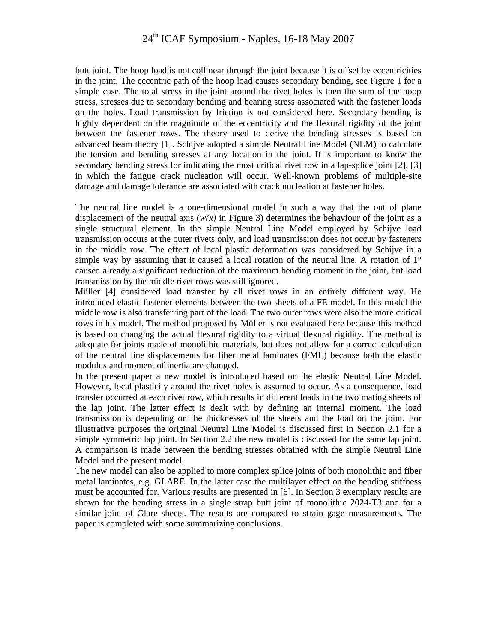# 24th ICAF Symposium - Naples, 16-18 May 2007

butt joint. The hoop load is not collinear through the joint because it is offset by eccentricities in the joint. The eccentric path of the hoop load causes secondary bending, see Figure 1 for a simple case. The total stress in the joint around the rivet holes is then the sum of the hoop stress, stresses due to secondary bending and bearing stress associated with the fastener loads on the holes. Load transmission by friction is not considered here. Secondary bending is highly dependent on the magnitude of the eccentricity and the flexural rigidity of the joint between the fastener rows. The theory used to derive the bending stresses is based on advanced beam theory [1]. Schijve adopted a simple Neutral Line Model (NLM) to calculate the tension and bending stresses at any location in the joint. It is important to know the secondary bending stress for indicating the most critical rivet row in a lap-splice joint [2], [3] in which the fatigue crack nucleation will occur. Well-known problems of multiple-site damage and damage tolerance are associated with crack nucleation at fastener holes.

The neutral line model is a one-dimensional model in such a way that the out of plane displacement of the neutral axis  $(w(x))$  in Figure 3) determines the behaviour of the joint as a single structural element. In the simple Neutral Line Model employed by Schijve load transmission occurs at the outer rivets only, and load transmission does not occur by fasteners in the middle row. The effect of local plastic deformation was considered by Schijve in a simple way by assuming that it caused a local rotation of the neutral line. A rotation of 1° caused already a significant reduction of the maximum bending moment in the joint, but load transmission by the middle rivet rows was still ignored.

Müller [4] considered load transfer by all rivet rows in an entirely different way. He introduced elastic fastener elements between the two sheets of a FE model. In this model the middle row is also transferring part of the load. The two outer rows were also the more critical rows in his model. The method proposed by Müller is not evaluated here because this method is based on changing the actual flexural rigidity to a virtual flexural rigidity. The method is adequate for joints made of monolithic materials, but does not allow for a correct calculation of the neutral line displacements for fiber metal laminates (FML) because both the elastic modulus and moment of inertia are changed.

In the present paper a new model is introduced based on the elastic Neutral Line Model. However, local plasticity around the rivet holes is assumed to occur. As a consequence, load transfer occurred at each rivet row, which results in different loads in the two mating sheets of the lap joint. The latter effect is dealt with by defining an internal moment. The load transmission is depending on the thicknesses of the sheets and the load on the joint. For illustrative purposes the original Neutral Line Model is discussed first in Section 2.1 for a simple symmetric lap joint. In Section 2.2 the new model is discussed for the same lap joint. A comparison is made between the bending stresses obtained with the simple Neutral Line Model and the present model.

The new model can also be applied to more complex splice joints of both monolithic and fiber metal laminates, e.g. GLARE. In the latter case the multilayer effect on the bending stiffness must be accounted for. Various results are presented in [6]. In Section 3 exemplary results are shown for the bending stress in a single strap butt joint of monolithic 2024-T3 and for a similar joint of Glare sheets. The results are compared to strain gage measurements. The paper is completed with some summarizing conclusions.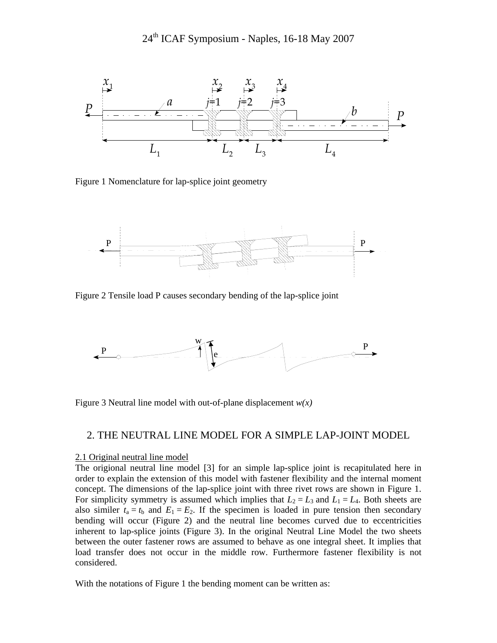

Figure 1 Nomenclature for lap-splice joint geometry



Figure 2 Tensile load P causes secondary bending of the lap-splice joint



Figure 3 Neutral line model with out-of-plane displacement *w(x)*

#### 2. THE NEUTRAL LINE MODEL FOR A SIMPLE LAP-JOINT MODEL

#### 2.1 Original neutral line model

The origional neutral line model [3] for an simple lap-splice joint is recapitulated here in order to explain the extension of this model with fastener flexibility and the internal moment concept. The dimensions of the lap-splice joint with three rivet rows are shown in Figure 1. For simplicity symmetry is assumed which implies that  $L_2 = L_3$  and  $L_1 = L_4$ . Both sheets are also similer  $t_a = t_b$  and  $E_1 = E_2$ . If the specimen is loaded in pure tension then secondary bending will occur (Figure 2) and the neutral line becomes curved due to eccentricities inherent to lap-splice joints (Figure 3). In the original Neutral Line Model the two sheets between the outer fastener rows are assumed to behave as one integral sheet. It implies that load transfer does not occur in the middle row. Furthermore fastener flexibility is not considered.

With the notations of Figure 1 the bending moment can be written as: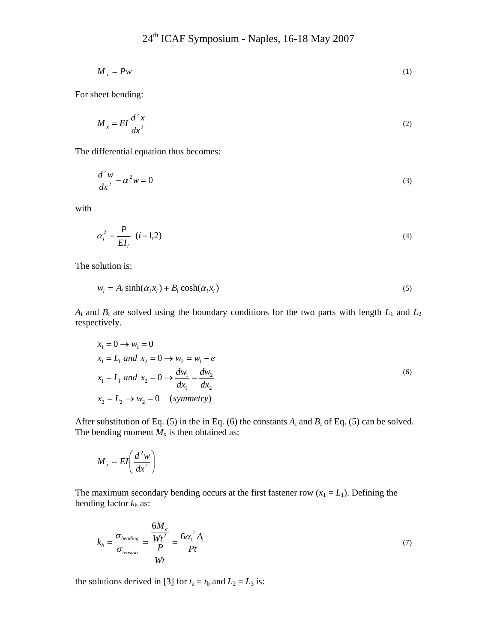$$
M_x = P w \tag{1}
$$

For sheet bending:

$$
M_x = EI \frac{d^2 x}{dx^2} \tag{2}
$$

The differential equation thus becomes:

$$
\frac{d^2w}{dx^2} - \alpha^2 w = 0\tag{3}
$$

with

$$
\alpha_i^2 = \frac{P}{EI_i} \quad (i=1,2)
$$

The solution is:

$$
w_i = A_i \sinh(\alpha_i x_i) + B_i \cosh(\alpha_i x_i)
$$
\n<sup>(5)</sup>

 $A_i$  and  $B_i$  are solved using the boundary conditions for the two parts with length  $L_1$  and  $L_2$ respectively.

$$
x_1 = 0 \to w_1 = 0
$$
  
\n
$$
x_1 = L_1 \text{ and } x_2 = 0 \to w_2 = w_1 - e
$$
  
\n
$$
x_1 = L_1 \text{ and } x_2 = 0 \to \frac{dw_1}{dx_1} = \frac{dw_2}{dx_2}
$$
  
\n
$$
x_2 = L_2 \to w_2 = 0 \quad \text{(symmetry)}
$$
 (6)

After substitution of Eq. (5) in the in Eq. (6) the constants  $A_i$  and  $B_i$  of Eq. (5) can be solved. The bending moment  $M_x$  is then obtained as:

$$
M_x = EI\left(\frac{d^2w}{dx^2}\right)
$$

The maximum secondary bending occurs at the first fastener row  $(x_1 = L_1)$ . Defining the bending factor  $k<sub>b</sub>$  as:

$$
k_b = \frac{\sigma_{bending}}{\sigma_{tension}} = \frac{\frac{6M_c}{Wt^2}}{\frac{P}{Wt}} = \frac{6\alpha_1^2 A_1}{Pt}
$$
\n(7)

the solutions derived in [3] for  $t_a = t_b$  and  $L_2 = L_3$  is: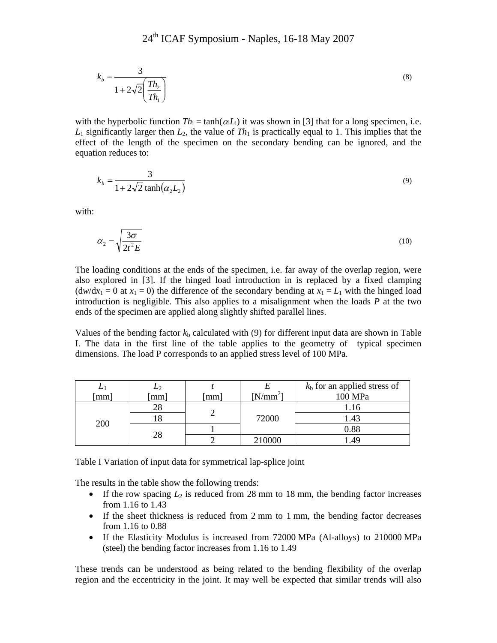$$
k_b = \frac{3}{1 + 2\sqrt{2} \left(\frac{T h_2}{T h_1}\right)}\tag{8}
$$

with the hyperbolic function  $Th_i = \tanh(\alpha_i L_i)$  it was shown in [3] that for a long specimen, i.e.  $L_1$  significantly larger then  $L_2$ , the value of  $Th_1$  is practically equal to 1. This implies that the effect of the length of the specimen on the secondary bending can be ignored, and the equation reduces to:

$$
k_b = \frac{3}{1 + 2\sqrt{2}\tanh(\alpha_2 L_2)}\tag{9}
$$

with:

$$
\alpha_2 = \sqrt{\frac{3\sigma}{2t^2E}}\tag{10}
$$

The loading conditions at the ends of the specimen, i.e. far away of the overlap region, were also explored in [3]. If the hinged load introduction in is replaced by a fixed clamping  $(dw/dx_1 = 0$  at  $x_1 = 0)$  the difference of the secondary bending at  $x_1 = L_1$  with the hinged load introduction is negligible. This also applies to a misalignment when the loads *P* at the two ends of the specimen are applied along slightly shifted parallel lines.

Values of the bending factor  $k<sub>b</sub>$  calculated with (9) for different input data are shown in Table I. The data in the first line of the table applies to the geometry of typical specimen dimensions. The load P corresponds to an applied stress level of 100 MPa.

| mm  | $\mathbf{z}_2$<br>mm] | [mm] | $[N/mm^2]$ | $kb$ for an applied stress of<br>100 MPa |
|-----|-----------------------|------|------------|------------------------------------------|
| 200 | 28                    |      | 72000      |                                          |
|     |                       |      |            | l.43                                     |
|     | 28                    |      |            | 0.88                                     |
|     |                       |      | 210000     | 4 <sup>o</sup>                           |

Table I Variation of input data for symmetrical lap-splice joint

The results in the table show the following trends:

- If the row spacing  $L_2$  is reduced from 28 mm to 18 mm, the bending factor increases from 1.16 to 1.43
- If the sheet thickness is reduced from 2 mm to 1 mm, the bending factor decreases from 1.16 to 0.88
- If the Elasticity Modulus is increased from 72000 MPa (Al-alloys) to 210000 MPa (steel) the bending factor increases from 1.16 to 1.49

These trends can be understood as being related to the bending flexibility of the overlap region and the eccentricity in the joint. It may well be expected that similar trends will also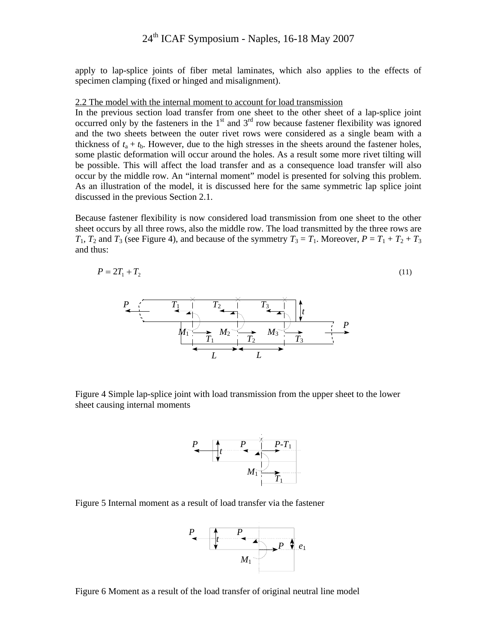apply to lap-splice joints of fiber metal laminates, which also applies to the effects of specimen clamping (fixed or hinged and misalignment).

#### 2.2 The model with the internal moment to account for load transmission

In the previous section load transfer from one sheet to the other sheet of a lap-splice joint occurred only by the fasteners in the  $1<sup>st</sup>$  and  $3<sup>rd</sup>$  row because fastener flexibility was ignored and the two sheets between the outer rivet rows were considered as a single beam with a thickness of  $t_a + t_b$ . However, due to the high stresses in the sheets around the fastener holes, some plastic deformation will occur around the holes. As a result some more rivet tilting will be possible. This will affect the load transfer and as a consequence load transfer will also occur by the middle row. An "internal moment" model is presented for solving this problem. As an illustration of the model, it is discussed here for the same symmetric lap splice joint discussed in the previous Section 2.1.

Because fastener flexibility is now considered load transmission from one sheet to the other sheet occurs by all three rows, also the middle row. The load transmitted by the three rows are  $T_1$ ,  $T_2$  and  $T_3$  (see Figure 4), and because of the symmetry  $T_3 = T_1$ . Moreover,  $P = T_1 + T_2 + T_3$ and thus:

$$
P = 2T_1 + T_2 \tag{11}
$$



Figure 4 Simple lap-splice joint with load transmission from the upper sheet to the lower sheet causing internal moments



Figure 5 Internal moment as a result of load transfer via the fastener



Figure 6 Moment as a result of the load transfer of original neutral line model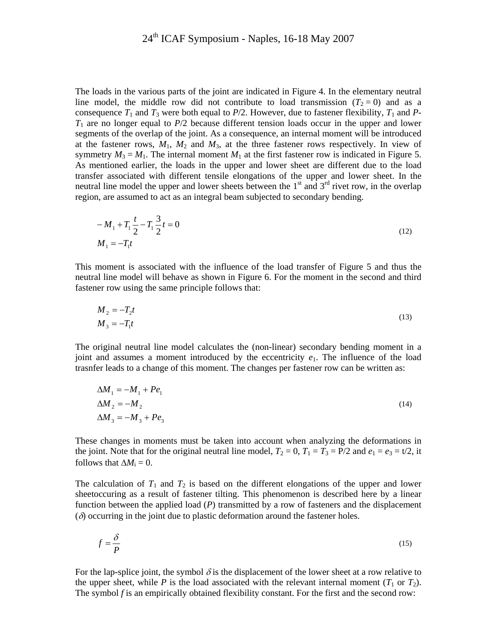The loads in the various parts of the joint are indicated in Figure 4. In the elementary neutral line model, the middle row did not contribute to load transmission  $(T_2 = 0)$  and as a consequence  $T_1$  and  $T_3$  were both equal to  $P/2$ . However, due to fastener flexibility,  $T_1$  and  $P_2$ -*T*1 are no longer equal to *P*/2 because different tension loads occur in the upper and lower segments of the overlap of the joint. As a consequence, an internal moment will be introduced at the fastener rows,  $M_1$ ,  $M_2$  and  $M_3$ , at the three fastener rows respectively. In view of symmetry  $M_3 = M_1$ . The internal moment  $M_1$  at the first fastener row is indicated in Figure 5. As mentioned earlier, the loads in the upper and lower sheet are different due to the load transfer associated with different tensile elongations of the upper and lower sheet. In the neutral line model the upper and lower sheets between the  $1<sup>st</sup>$  and  $3<sup>rd</sup>$  rivet row, in the overlap region, are assumed to act as an integral beam subjected to secondary bending.

$$
-M_1 + T_1 \frac{t}{2} - T_1 \frac{3}{2}t = 0
$$
  
\n
$$
M_1 = -T_1 t
$$
\n(12)

This moment is associated with the influence of the load transfer of Figure 5 and thus the neutral line model will behave as shown in Figure 6. For the moment in the second and third fastener row using the same principle follows that:

$$
M_2 = -T_2 t
$$
  
\n
$$
M_3 = -T_1 t
$$
\n(13)

The original neutral line model calculates the (non-linear) secondary bending moment in a joint and assumes a moment introduced by the eccentricity  $e_1$ . The influence of the load trasnfer leads to a change of this moment. The changes per fastener row can be written as:

$$
\Delta M_1 = -M_1 + Pe_1
$$
  
\n
$$
\Delta M_2 = -M_2
$$
  
\n
$$
\Delta M_3 = -M_3 + Pe_3
$$
\n(14)

These changes in moments must be taken into account when analyzing the deformations in the joint. Note that for the original neutral line model,  $T_2 = 0$ ,  $T_1 = T_3 = P/2$  and  $e_1 = e_3 = t/2$ , it follows that  $\Delta M_i = 0$ .

The calculation of  $T_1$  and  $T_2$  is based on the different elongations of the upper and lower sheetoccuring as a result of fastener tilting. This phenomenon is described here by a linear function between the applied load (*P*) transmitted by a row of fasteners and the displacement  $(\delta)$  occurring in the joint due to plastic deformation around the fastener holes.

$$
f = \frac{\delta}{P}
$$
 (15)

For the lap-splice joint, the symbol  $\delta$  is the displacement of the lower sheet at a row relative to the upper sheet, while *P* is the load associated with the relevant internal moment  $(T_1 \text{ or } T_2)$ . The symbol *f* is an empirically obtained flexibility constant. For the first and the second row: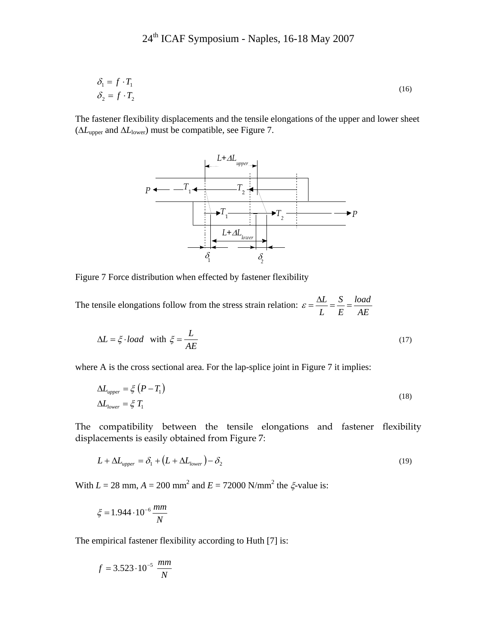$$
\delta_1 = f \cdot T_1
$$
  
\n
$$
\delta_2 = f \cdot T_2
$$
\n(16)

The fastener flexibility displacements and the tensile elongations of the upper and lower sheet (Δ*L*upper and Δ*L*lower) must be compatible, see Figure 7.



Figure 7 Force distribution when effected by fastener flexibility

The tensile elongations follow from the stress strain relation:  $\varepsilon = \frac{\Delta L}{L} = \frac{S}{E} = \frac{load}{AE}$ *E S L*  $\mathcal{E} = \frac{\Delta L}{\Delta t} = \frac{S}{\Delta t} =$ 

$$
\Delta L = \xi \cdot load \quad \text{with } \xi = \frac{L}{AE} \tag{17}
$$

where A is the cross sectional area. For the lap-splice joint in Figure 7 it implies:

$$
\Delta L_{upper} = \xi \left( P - T_1 \right) \n\Delta L_{lower} = \xi T_1
$$
\n(18)

The compatibility between the tensile elongations and fastener flexibility displacements is easily obtained from Figure 7:

$$
L + \Delta L_{upper} = \delta_1 + (L + \Delta L_{lower}) - \delta_2 \tag{19}
$$

With  $L = 28$  mm,  $A = 200$  mm<sup>2</sup> and  $E = 72000$  N/mm<sup>2</sup> the  $\xi$ -value is:

$$
\xi = 1.944 \cdot 10^{-6} \frac{mm}{N}
$$

The empirical fastener flexibility according to Huth [7] is:

$$
f = 3.523 \cdot 10^{-5} \frac{mm}{N}
$$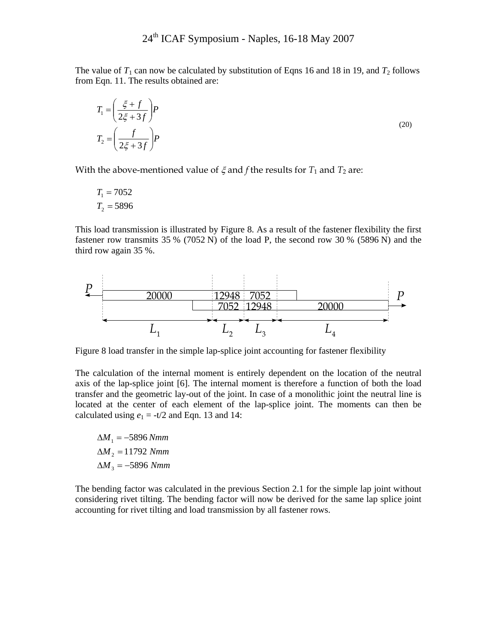The value of  $T_1$  can now be calculated by substitution of Eqns 16 and 18 in 19, and  $T_2$  follows from Eqn. 11. The results obtained are:

$$
T_1 = \left(\frac{\xi + f}{2\xi + 3f}\right)P
$$
  
\n
$$
T_2 = \left(\frac{f}{2\xi + 3f}\right)P
$$
 (20)

With the above-mentioned value of  $\xi$  and *f* the results for  $T_1$  and  $T_2$  are:

$$
T_1 = 7052
$$

$$
T_2 = 5896
$$

This load transmission is illustrated by Figure 8. As a result of the fastener flexibility the first fastener row transmits 35 % (7052 N) of the load P, the second row 30 % (5896 N) and the third row again 35 %.



Figure 8 load transfer in the simple lap-splice joint accounting for fastener flexibility

The calculation of the internal moment is entirely dependent on the location of the neutral axis of the lap-splice joint [6]. The internal moment is therefore a function of both the load transfer and the geometric lay-out of the joint. In case of a monolithic joint the neutral line is located at the center of each element of the lap-splice joint. The moments can then be calculated using  $e_1 = -t/2$  and Eqn. 13 and 14:

 $\Delta M_{3} = -5896$  Nmm  $\Delta M$ <sub>2</sub> = 11792 Nmm  $\Delta M_{1} = -5896 Nmm$ 

The bending factor was calculated in the previous Section 2.1 for the simple lap joint without considering rivet tilting. The bending factor will now be derived for the same lap splice joint accounting for rivet tilting and load transmission by all fastener rows.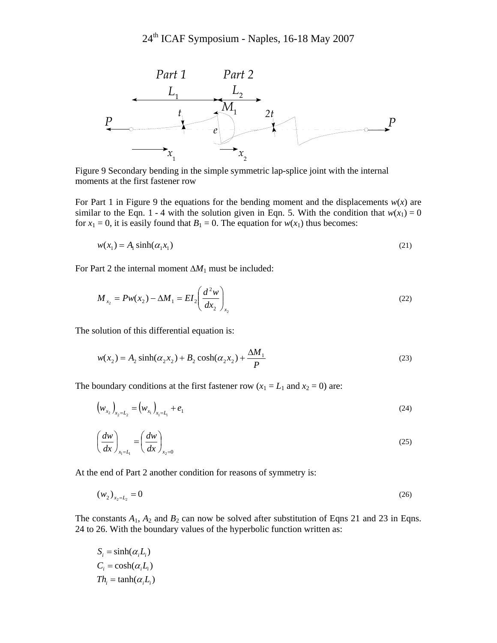

Figure 9 Secondary bending in the simple symmetric lap-splice joint with the internal moments at the first fastener row

For Part 1 in Figure 9 the equations for the bending moment and the displacements  $w(x)$  are similar to the Eqn. 1 - 4 with the solution given in Eqn. 5. With the condition that  $w(x_1) = 0$ for  $x_1 = 0$ , it is easily found that  $B_1 = 0$ . The equation for  $w(x_1)$  thus becomes:

$$
w(x_1) = A_1 \sinh(\alpha_1 x_1) \tag{21}
$$

For Part 2 the internal moment Δ*M*1 must be included:

$$
M_{x_2} = P w(x_2) - \Delta M_1 = EI_2 \left(\frac{d^2 w}{dx_2}\right)_{x_2}
$$
 (22)

The solution of this differential equation is:

$$
w(x_2) = A_2 \sinh(\alpha_2 x_2) + B_2 \cosh(\alpha_2 x_2) + \frac{\Delta M_1}{P}
$$
 (23)

The boundary conditions at the first fastener row  $(x_1 = L_1 \text{ and } x_2 = 0)$  are:

$$
\left(w_{x_2}\right)_{x_2=L_2} = \left(w_{x_1}\right)_{x_1=L_1} + e_1\tag{24}
$$

$$
\left(\frac{dw}{dx}\right)_{x_1=L_1} = \left(\frac{dw}{dx}\right)_{x_2=0}
$$
\n(25)

At the end of Part 2 another condition for reasons of symmetry is:

$$
(w_2)_{x_2=L_2} = 0 \tag{26}
$$

The constants  $A_1$ ,  $A_2$  and  $B_2$  can now be solved after substitution of Eqns 21 and 23 in Eqns. 24 to 26. With the boundary values of the hyperbolic function written as:

$$
S_i = \sinh(\alpha_i L_i)
$$
  
\n
$$
C_i = \cosh(\alpha_i L_i)
$$
  
\n
$$
Th_i = \tanh(\alpha_i L_i)
$$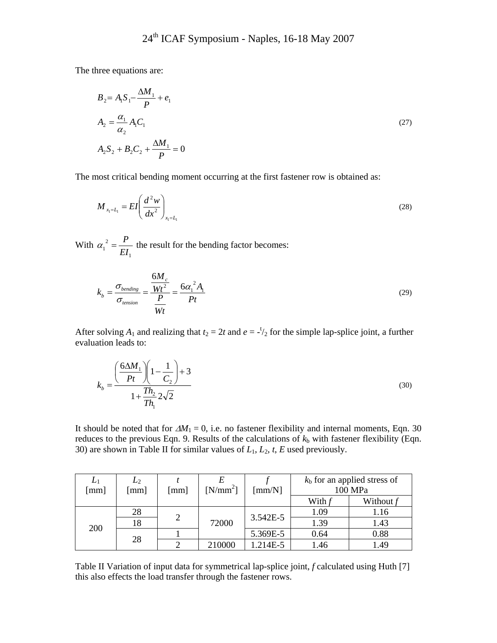The three equations are:

$$
B_2 = A_1 S_1 - \frac{\Delta M_1}{P} + e_1
$$
  
\n
$$
A_2 = \frac{\alpha_1}{\alpha_2} A_1 C_1
$$
  
\n
$$
A_2 S_2 + B_2 C_2 + \frac{\Delta M_1}{P} = 0
$$
\n(27)

The most critical bending moment occurring at the first fastener row is obtained as:

$$
M_{x_1=L_1} = EI\left(\frac{d^2w}{dx^2}\right)_{x_1=L_1}
$$
 (28)

With 1 2  $1 - EI$  $\alpha_1^2 = \frac{P}{\sigma}$  the result for the bending factor becomes:

$$
k_b = \frac{\sigma_{bending}}{\sigma_{tension}} = \frac{\frac{6M_c}{Wt^2}}{\frac{P}{Wt}} = \frac{6\alpha_1^2 A_1}{Pt}
$$
\n(29)

After solving  $A_1$  and realizing that  $t_2 = 2t$  and  $e = -\frac{t}{2}$  for the simple lap-splice joint, a further evaluation leads to:

$$
k_b = \frac{\left(\frac{6\Delta M_1}{Pt}\right)\left(1 - \frac{1}{C_2}\right) + 3}{1 + \frac{Th_2}{Th_1} 2\sqrt{2}}
$$
\n(30)

It should be noted that for  $\Delta M_1 = 0$ , i.e. no fastener flexibility and internal moments, Eqn. 30 reduces to the previous Eqn. 9. Results of the calculations of  $k<sub>b</sub>$  with fastener flexibility (Eqn. 30) are shown in Table II for similar values of *L*1, *L*2, *t*, *E* used previously.

| $L_1$<br>[mm] | $L_2$<br>$\lceil$ mm $\rceil$ | $\lceil$ mm $\rceil$ | $[N/mm^2]$ | $\lceil$ mm/N $\rceil$ | $kb$ for an applied stress of<br>100 MPa |           |
|---------------|-------------------------------|----------------------|------------|------------------------|------------------------------------------|-----------|
|               |                               |                      |            |                        | With                                     | Without f |
| 200           | 28                            | $\overline{2}$       | 72000      | 3.542E-5               | 1.09                                     | 1.16      |
|               | 18                            |                      |            |                        | 1.39                                     | 1.43      |
|               | 28                            |                      |            | 5.369E-5               | 0.64                                     | 0.88      |
|               |                               |                      | 210000     | 1.214E-5               | 1.46                                     | 1.49      |

Table II Variation of input data for symmetrical lap-splice joint, *f* calculated using Huth [7] this also effects the load transfer through the fastener rows.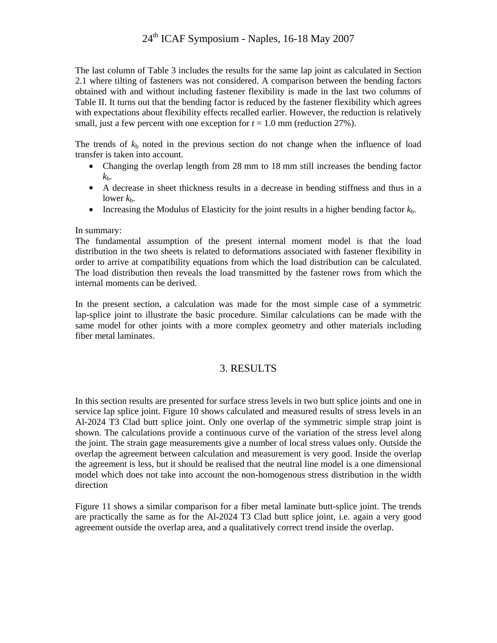# 24<sup>th</sup> ICAF Symposium - Naples, 16-18 May 2007

The last column of Table 3 includes the results for the same lap joint as calculated in Section 2.1 where tilting of fasteners was not considered. A comparison between the bending factors obtained with and without including fastener flexibility is made in the last two columns of Table II. It turns out that the bending factor is reduced by the fastener flexibility which agrees with expectations about flexibility effects recalled earlier. However, the reduction is relatively small, just a few percent with one exception for  $t = 1.0$  mm (reduction 27%).

The trends of  $k<sub>b</sub>$  noted in the previous section do not change when the influence of load transfer is taken into account.

- Changing the overlap length from 28 mm to 18 mm still increases the bending factor  $k_{\rm b}$ .
- A decrease in sheet thickness results in a decrease in bending stiffness and thus in a lower  $k<sub>b</sub>$ .
- Increasing the Modulus of Elasticity for the joint results in a higher bending factor  $k<sub>b</sub>$ .

#### In summary:

The fundamental assumption of the present internal moment model is that the load distribution in the two sheets is related to deformations associated with fastener flexibility in order to arrive at compatibility equations from which the load distribution can be calculated. The load distribution then reveals the load transmitted by the fastener rows from which the internal moments can be derived.

In the present section, a calculation was made for the most simple case of a symmetric lap-splice joint to illustrate the basic procedure. Similar calculations can be made with the same model for other joints with a more complex geometry and other materials including fiber metal laminates.

## 3. RESULTS

In this section results are presented for surface stress levels in two butt splice joints and one in service lap splice joint. Figure 10 shows calculated and measured results of stress levels in an Al-2024 T3 Clad butt splice joint. Only one overlap of the symmetric simple strap joint is shown. The calculations provide a continuous curve of the variation of the stress level along the joint. The strain gage measurements give a number of local stress values only. Outside the overlap the agreement between calculation and measurement is very good. Inside the overlap the agreement is less, but it should be realised that the neutral line model is a one dimensional model which does not take into account the non-homogenous stress distribution in the width direction

Figure 11 shows a similar comparison for a fiber metal laminate butt-splice joint. The trends are practically the same as for the Al-2024 T3 Clad butt splice joint, i.e. again a very good agreement outside the overlap area, and a qualitatively correct trend inside the overlap.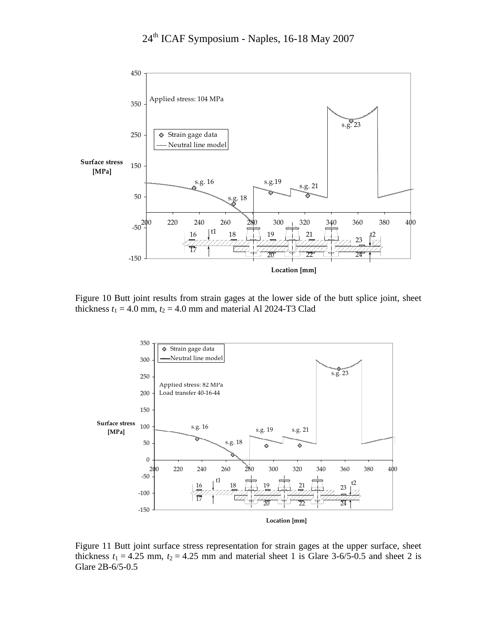

Figure 10 Butt joint results from strain gages at the lower side of the butt splice joint, sheet thickness  $t_1 = 4.0$  mm,  $t_2 = 4.0$  mm and material Al 2024-T3 Clad



Figure 11 Butt joint surface stress representation for strain gages at the upper surface, sheet thickness  $t_1 = 4.25$  mm,  $t_2 = 4.25$  mm and material sheet 1 is Glare 3-6/5-0.5 and sheet 2 is Glare 2B-6/5-0.5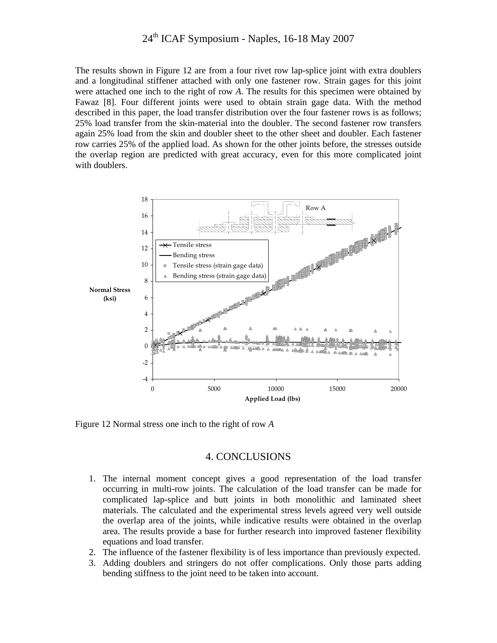# 24<sup>th</sup> ICAF Symposium - Naples, 16-18 May 2007

The results shown in Figure 12 are from a four rivet row lap-splice joint with extra doublers and a longitudinal stiffener attached with only one fastener row. Strain gages for this joint were attached one inch to the right of row *A*. The results for this specimen were obtained by Fawaz [8]. Four different joints were used to obtain strain gage data. With the method described in this paper, the load transfer distribution over the four fastener rows is as follows; 25% load transfer from the skin-material into the doubler. The second fastener row transfers again 25% load from the skin and doubler sheet to the other sheet and doubler. Each fastener row carries 25% of the applied load. As shown for the other joints before, the stresses outside the overlap region are predicted with great accuracy, even for this more complicated joint with doublers.



Figure 12 Normal stress one inch to the right of row *A*

#### 4. CONCLUSIONS

- 1. The internal moment concept gives a good representation of the load transfer occurring in multi-row joints. The calculation of the load transfer can be made for complicated lap-splice and butt joints in both monolithic and laminated sheet materials. The calculated and the experimental stress levels agreed very well outside the overlap area of the joints, while indicative results were obtained in the overlap area. The results provide a base for further research into improved fastener flexibility equations and load transfer.
- 2. The influence of the fastener flexibility is of less importance than previously expected.
- 3. Adding doublers and stringers do not offer complications. Only those parts adding bending stiffness to the joint need to be taken into account.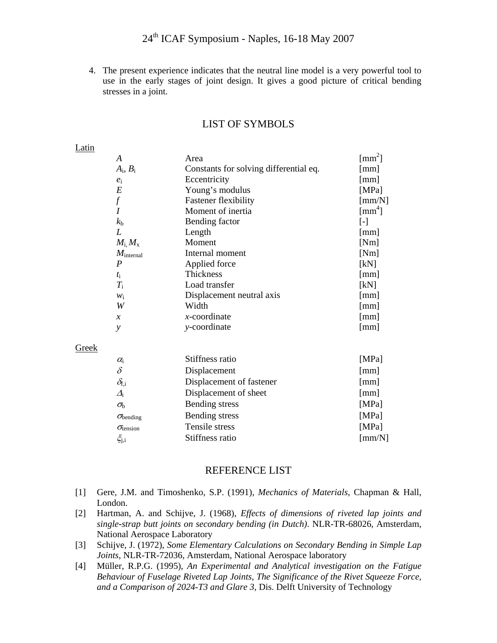4. The present experience indicates that the neutral line model is a very powerful tool to use in the early stages of joint design. It gives a good picture of critical bending stresses in a joint.

| Latili |                           |                                        |                                   |
|--------|---------------------------|----------------------------------------|-----------------------------------|
|        | A                         | Area                                   | $\text{[mm}^2$ ]                  |
|        | $A_i$ , $B_i$             | Constants for solving differential eq. | [mm]                              |
|        | $e_i$                     | Eccentricity                           | $\lfloor$ mm $\rfloor$            |
|        | $E\,$                     | Young's modulus                        | [MPa]                             |
|        | $\int$                    | <b>Fastener flexibility</b>            | [mm/N]                            |
|        |                           | Moment of inertia                      | $\lceil$ mm <sup>4</sup> $\rceil$ |
|        | $k_{\rm b}$               | Bending factor                         | $[\cdot]$                         |
|        | L                         | Length                                 | [mm]                              |
|        | $M_{\rm i}$ , $M_{\rm x}$ | Moment                                 | [Nm]                              |
|        | $M_{\text{internal}}$     | Internal moment                        | [Nm]                              |
|        | P                         | Applied force                          | [kN]                              |
|        | $t_{\rm i}$               | Thickness                              | [mm]                              |
|        | $T_{\rm i}$               | Load transfer                          | [kN]                              |
|        | $W_1$                     | Displacement neutral axis              | [mm]                              |
|        | W                         | Width                                  | [mm]                              |
|        | $\boldsymbol{x}$          | $x$ -coordinate                        | [mm]                              |
|        | y                         | y-coordinate                           | [mm]                              |
| Greek  |                           |                                        |                                   |
|        | $\alpha_i$                | Stiffness ratio                        | [MPa]                             |
|        |                           |                                        |                                   |

#### LIST OF SYMBOLS

### Latin

**Greek** 

| OIVAN |                           |                          |                        |
|-------|---------------------------|--------------------------|------------------------|
|       | $\alpha_{i}$              | Stiffness ratio          | [MPa]                  |
|       | $\delta$                  | Displacement             | [mm]                   |
|       | $\delta_{\rm f,i}$        | Displacement of fastener | [mm]                   |
|       | $\Delta_i$                | Displacement of sheet    | [mm]                   |
|       | $\sigma_{\rm b}$          | Bending stress           | [MPa]                  |
|       | $\sigma_{\rm bending}$    | Bending stress           | [MPa]                  |
|       | $\sigma_{\text{tension}}$ | Tensile stress           | [MPa]                  |
|       | $\xi_{j,i}$               | Stiffness ratio          | $\lceil$ mm/N $\rceil$ |
|       |                           |                          |                        |

#### REFERENCE LIST

- [1] Gere, J.M. and Timoshenko, S.P. (1991), *Mechanics of Materials*, Chapman & Hall, London.
- [2] Hartman, A. and Schijve, J. (1968), *Effects of dimensions of riveted lap joints and single-strap butt joints on secondary bending (in Dutch)*. NLR-TR-68026, Amsterdam, National Aerospace Laboratory
- [3] Schijve, J. (1972), *Some Elementary Calculations on Secondary Bending in Simple Lap Joints*, NLR-TR-72036, Amsterdam, National Aerospace laboratory
- [4] Müller, R.P.G. (1995), *An Experimental and Analytical investigation on the Fatigue Behaviour of Fuselage Riveted Lap Joints, The Significance of the Rivet Squeeze Force, and a Comparison of 2024-T3 and Glare 3*, Dis. Delft University of Technology